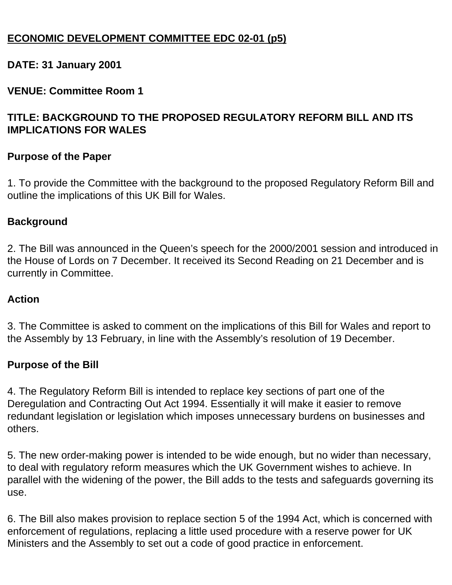## **ECONOMIC DEVELOPMENT COMMITTEE EDC 02-01 (p5)**

## **DATE: 31 January 2001**

## **VENUE: Committee Room 1**

## **TITLE: BACKGROUND TO THE PROPOSED REGULATORY REFORM BILL AND ITS IMPLICATIONS FOR WALES**

#### **Purpose of the Paper**

1. To provide the Committee with the background to the proposed Regulatory Reform Bill and outline the implications of this UK Bill for Wales.

#### **Background**

2. The Bill was announced in the Queen's speech for the 2000/2001 session and introduced in the House of Lords on 7 December. It received its Second Reading on 21 December and is currently in Committee.

## **Action**

3. The Committee is asked to comment on the implications of this Bill for Wales and report to the Assembly by 13 February, in line with the Assembly's resolution of 19 December.

## **Purpose of the Bill**

4. The Regulatory Reform Bill is intended to replace key sections of part one of the Deregulation and Contracting Out Act 1994. Essentially it will make it easier to remove redundant legislation or legislation which imposes unnecessary burdens on businesses and others.

5. The new order-making power is intended to be wide enough, but no wider than necessary, to deal with regulatory reform measures which the UK Government wishes to achieve. In parallel with the widening of the power, the Bill adds to the tests and safeguards governing its use.

6. The Bill also makes provision to replace section 5 of the 1994 Act, which is concerned with enforcement of regulations, replacing a little used procedure with a reserve power for UK Ministers and the Assembly to set out a code of good practice in enforcement.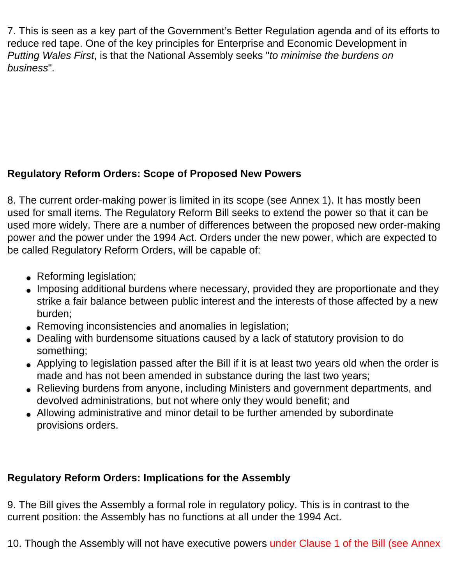7. This is seen as a key part of the Government's Better Regulation agenda and of its efforts to reduce red tape. One of the key principles for Enterprise and Economic Development in *Putting Wales First*, is that the National Assembly seeks "*to minimise the burdens on business*".

# **Regulatory Reform Orders: Scope of Proposed New Powers**

8. The current order-making power is limited in its scope (see Annex 1). It has mostly been used for small items. The Regulatory Reform Bill seeks to extend the power so that it can be used more widely. There are a number of differences between the proposed new order-making power and the power under the 1994 Act. Orders under the new power, which are expected to be called Regulatory Reform Orders, will be capable of:

- Reforming legislation;
- Imposing additional burdens where necessary, provided they are proportionate and they strike a fair balance between public interest and the interests of those affected by a new burden;
- Removing inconsistencies and anomalies in legislation;
- Dealing with burdensome situations caused by a lack of statutory provision to do something;
- Applying to legislation passed after the Bill if it is at least two years old when the order is made and has not been amended in substance during the last two years;
- Relieving burdens from anyone, including Ministers and government departments, and devolved administrations, but not where only they would benefit; and
- Allowing administrative and minor detail to be further amended by subordinate provisions orders.

# **Regulatory Reform Orders: Implications for the Assembly**

9. The Bill gives the Assembly a formal role in regulatory policy. This is in contrast to the current position: the Assembly has no functions at all under the 1994 Act.

10. Though the Assembly will not have executive powers under Clause 1 of the Bill (see Annex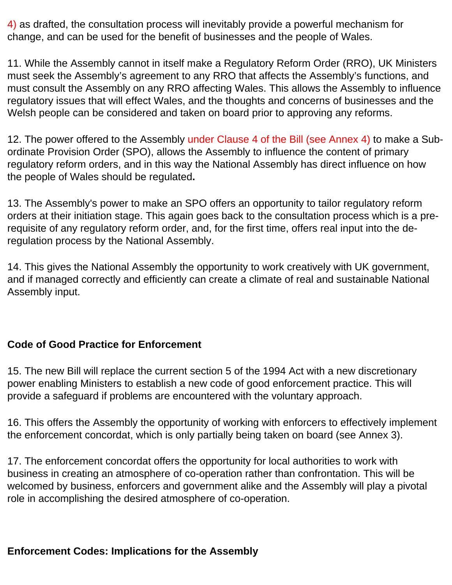4) as drafted, the consultation process will inevitably provide a powerful mechanism for change, and can be used for the benefit of businesses and the people of Wales.

11. While the Assembly cannot in itself make a Regulatory Reform Order (RRO), UK Ministers must seek the Assembly's agreement to any RRO that affects the Assembly's functions, and must consult the Assembly on any RRO affecting Wales. This allows the Assembly to influence regulatory issues that will effect Wales, and the thoughts and concerns of businesses and the Welsh people can be considered and taken on board prior to approving any reforms.

12. The power offered to the Assembly under Clause 4 of the Bill (see Annex 4) to make a Subordinate Provision Order (SPO), allows the Assembly to influence the content of primary regulatory reform orders, and in this way the National Assembly has direct influence on how the people of Wales should be regulated**.**

13. The Assembly's power to make an SPO offers an opportunity to tailor regulatory reform orders at their initiation stage. This again goes back to the consultation process which is a prerequisite of any regulatory reform order, and, for the first time, offers real input into the deregulation process by the National Assembly.

14. This gives the National Assembly the opportunity to work creatively with UK government, and if managed correctly and efficiently can create a climate of real and sustainable National Assembly input.

## **Code of Good Practice for Enforcement**

15. The new Bill will replace the current section 5 of the 1994 Act with a new discretionary power enabling Ministers to establish a new code of good enforcement practice. This will provide a safeguard if problems are encountered with the voluntary approach.

16. This offers the Assembly the opportunity of working with enforcers to effectively implement the enforcement concordat, which is only partially being taken on board (see Annex 3).

17. The enforcement concordat offers the opportunity for local authorities to work with business in creating an atmosphere of co-operation rather than confrontation. This will be welcomed by business, enforcers and government alike and the Assembly will play a pivotal role in accomplishing the desired atmosphere of co-operation.

## **Enforcement Codes: Implications for the Assembly**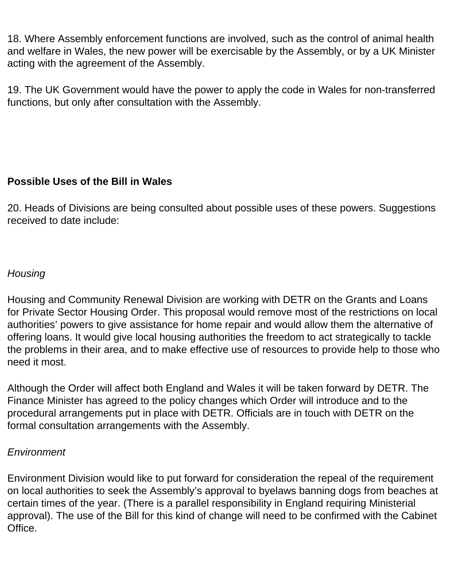18. Where Assembly enforcement functions are involved, such as the control of animal health and welfare in Wales, the new power will be exercisable by the Assembly, or by a UK Minister acting with the agreement of the Assembly.

19. The UK Government would have the power to apply the code in Wales for non-transferred functions, but only after consultation with the Assembly.

## **Possible Uses of the Bill in Wales**

20. Heads of Divisions are being consulted about possible uses of these powers. Suggestions received to date include:

#### *Housing*

Housing and Community Renewal Division are working with DETR on the Grants and Loans for Private Sector Housing Order. This proposal would remove most of the restrictions on local authorities' powers to give assistance for home repair and would allow them the alternative of offering loans. It would give local housing authorities the freedom to act strategically to tackle the problems in their area, and to make effective use of resources to provide help to those who need it most.

Although the Order will affect both England and Wales it will be taken forward by DETR. The Finance Minister has agreed to the policy changes which Order will introduce and to the procedural arrangements put in place with DETR. Officials are in touch with DETR on the formal consultation arrangements with the Assembly.

#### *Environment*

Environment Division would like to put forward for consideration the repeal of the requirement on local authorities to seek the Assembly's approval to byelaws banning dogs from beaches at certain times of the year. (There is a parallel responsibility in England requiring Ministerial approval). The use of the Bill for this kind of change will need to be confirmed with the Cabinet Office.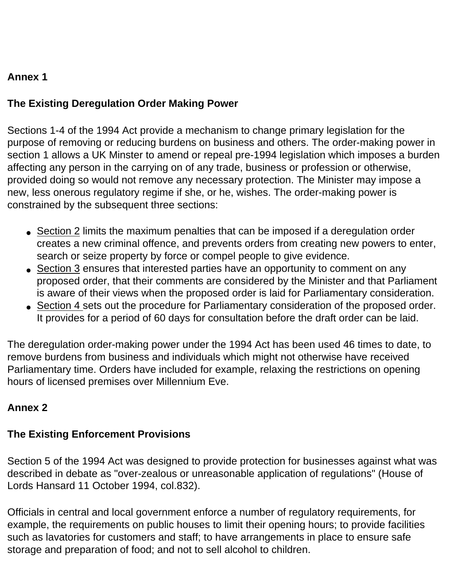## **Annex 1**

# **The Existing Deregulation Order Making Power**

Sections 1-4 of the 1994 Act provide a mechanism to change primary legislation for the purpose of removing or reducing burdens on business and others. The order-making power in section 1 allows a UK Minster to amend or repeal pre-1994 legislation which imposes a burden affecting any person in the carrying on of any trade, business or profession or otherwise, provided doing so would not remove any necessary protection. The Minister may impose a new, less onerous regulatory regime if she, or he, wishes. The order-making power is constrained by the subsequent three sections:

- Section 2 limits the maximum penalties that can be imposed if a deregulation order creates a new criminal offence, and prevents orders from creating new powers to enter, search or seize property by force or compel people to give evidence.
- Section 3 ensures that interested parties have an opportunity to comment on any proposed order, that their comments are considered by the Minister and that Parliament is aware of their views when the proposed order is laid for Parliamentary consideration.
- Section 4 sets out the procedure for Parliamentary consideration of the proposed order. It provides for a period of 60 days for consultation before the draft order can be laid.

The deregulation order-making power under the 1994 Act has been used 46 times to date, to remove burdens from business and individuals which might not otherwise have received Parliamentary time. Orders have included for example, relaxing the restrictions on opening hours of licensed premises over Millennium Eve.

## **Annex 2**

## **The Existing Enforcement Provisions**

Section 5 of the 1994 Act was designed to provide protection for businesses against what was described in debate as "over-zealous or unreasonable application of regulations" (House of Lords Hansard 11 October 1994, col.832).

Officials in central and local government enforce a number of regulatory requirements, for example, the requirements on public houses to limit their opening hours; to provide facilities such as lavatories for customers and staff; to have arrangements in place to ensure safe storage and preparation of food; and not to sell alcohol to children.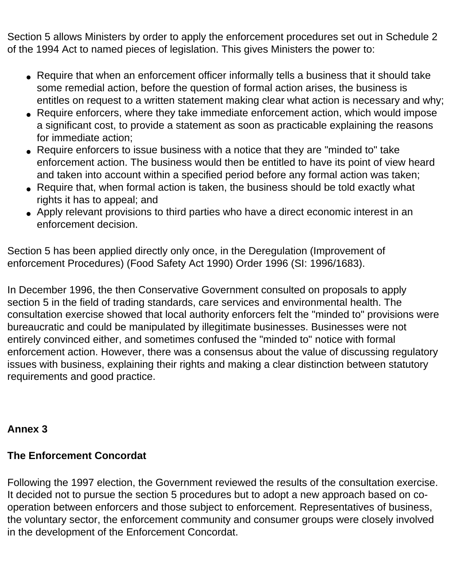Section 5 allows Ministers by order to apply the enforcement procedures set out in Schedule 2 of the 1994 Act to named pieces of legislation. This gives Ministers the power to:

- Require that when an enforcement officer informally tells a business that it should take some remedial action, before the question of formal action arises, the business is entitles on request to a written statement making clear what action is necessary and why;
- Require enforcers, where they take immediate enforcement action, which would impose a significant cost, to provide a statement as soon as practicable explaining the reasons for immediate action;
- Require enforcers to issue business with a notice that they are "minded to" take enforcement action. The business would then be entitled to have its point of view heard and taken into account within a specified period before any formal action was taken;
- Require that, when formal action is taken, the business should be told exactly what rights it has to appeal; and
- Apply relevant provisions to third parties who have a direct economic interest in an enforcement decision.

Section 5 has been applied directly only once, in the Deregulation (Improvement of enforcement Procedures) (Food Safety Act 1990) Order 1996 (SI: 1996/1683).

In December 1996, the then Conservative Government consulted on proposals to apply section 5 in the field of trading standards, care services and environmental health. The consultation exercise showed that local authority enforcers felt the "minded to" provisions were bureaucratic and could be manipulated by illegitimate businesses. Businesses were not entirely convinced either, and sometimes confused the "minded to" notice with formal enforcement action. However, there was a consensus about the value of discussing regulatory issues with business, explaining their rights and making a clear distinction between statutory requirements and good practice.

## **Annex 3**

## **The Enforcement Concordat**

Following the 1997 election, the Government reviewed the results of the consultation exercise. It decided not to pursue the section 5 procedures but to adopt a new approach based on cooperation between enforcers and those subject to enforcement. Representatives of business, the voluntary sector, the enforcement community and consumer groups were closely involved in the development of the Enforcement Concordat.